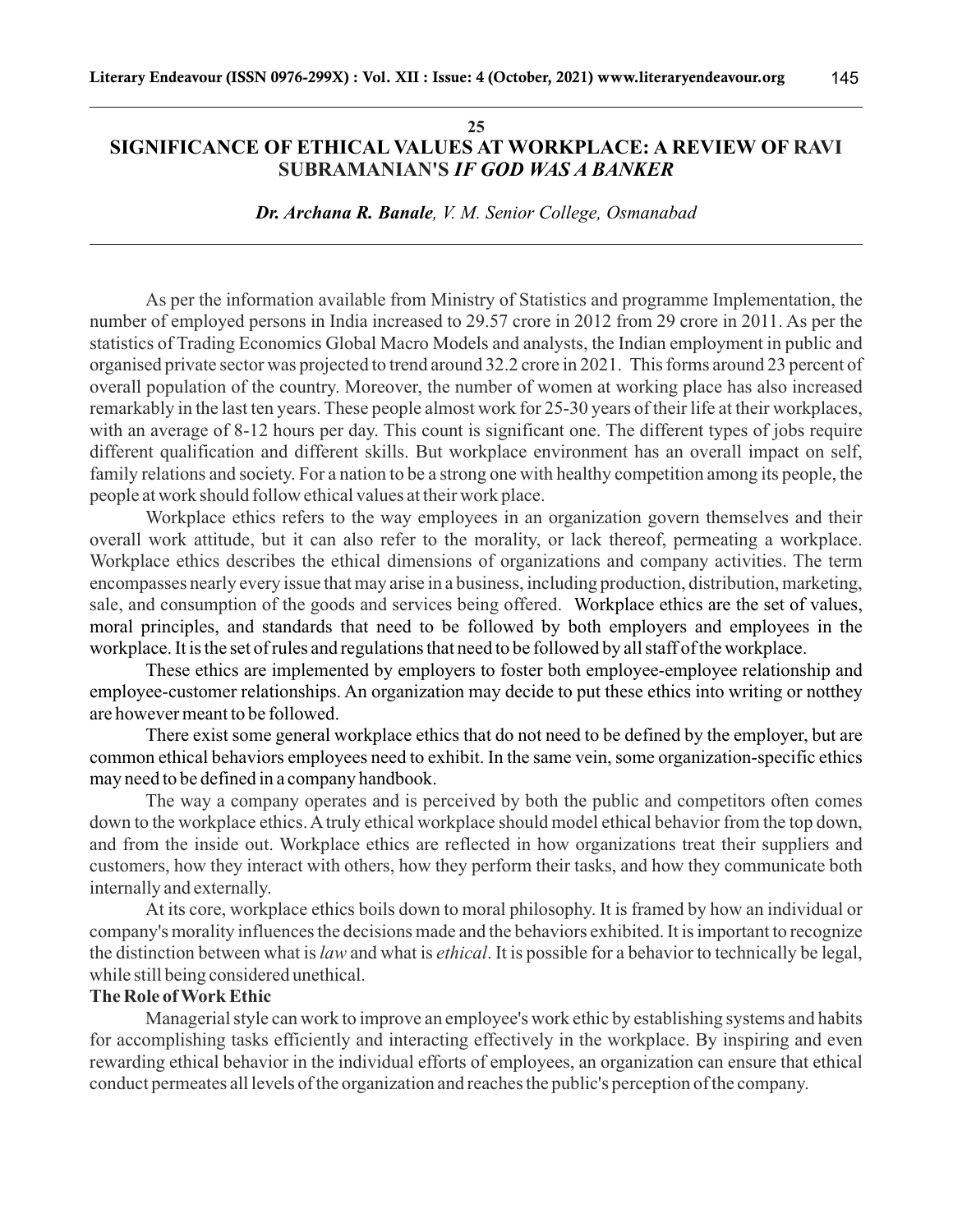#### **25 SIGNIFICANCE OF ETHICAL VALUES AT WORKPLACE: A REVIEW OF RAVI**  *IF GOD WAS A BANKER* **SUBRAMANIAN'S**

145

*Dr. Archana R. Banale, V. M. Senior College, Osmanabad*

As per the information available from Ministry of Statistics and programme Implementation, the number of employed persons in India increased to 29.57 crore in 2012 from 29 crore in 2011. As per the statistics of Trading Economics Global Macro Models and analysts, the Indian employment in public and organised private sector was projected to trend around 32.2 crore in 2021. This forms around 23 percent of overall population of the country. Moreover, the number of women at working place has also increased remarkably in the last ten years. These people almost work for 25-30 years of their life at their workplaces, with an average of 8-12 hours per day. This count is significant one. The different types of jobs require different qualification and different skills. But workplace environment has an overall impact on self, family relations and society. For a nation to be a strong one with healthy competition among its people, the people at work should follow ethical values at their work place.

sale, and consumption of the goods and services being offered. Workplace ethics are the set of values, moral principles, and standards that need to be followed by both employers and employees in the workplace. It is the set of rules and regulations that need to be followed by all staff of the workplace. Workplace ethics refers to the way employees in an organization govern themselves and their overall work attitude, but it can also refer to the morality, or lack thereof, permeating a workplace. Workplace ethics describes the ethical dimensions of organizations and company activities. The term encompasses nearly every issue that may arise in a business, including production, distribution, marketing,

These ethics are implemented by employers to foster both employee-employee relationship and employee-customer relationships. An organization may decide to put these ethics into writing or notthey are however meant to be followed.

There exist some general workplace ethics that do not need to be defined by the employer, but are common ethical behaviors employees need to exhibit. In the same vein, some organization-specific ethics may need to be defined in a company handbook.

The way a company operates and is perceived by both the public and competitors often comes down to the workplace ethics. Atruly ethical workplace should model ethical behavior from the top down, and from the inside out. Workplace ethics are reflected in how organizations treat their suppliers and customers, how they interact with others, how they perform their tasks, and how they communicate both internally and externally.

At its core, workplace ethics boils down to moral philosophy. It is framed by how an individual or company's morality influences the decisions made and the behaviors exhibited. It is important to recognize the distinction between what is *law* and what is *ethical*. It is possible for a behavior to technically be legal, while still being considered unethical.

## **The Role of Work Ethic**

Managerial style can work to improve an employee's work ethic by establishing systems and habits for accomplishing tasks efficiently and interacting effectively in the workplace. By inspiring and even rewarding ethical behavior in the individual efforts of employees, an organization can ensure that ethical conduct permeates all levels of the organization and reaches the public's perception of the company.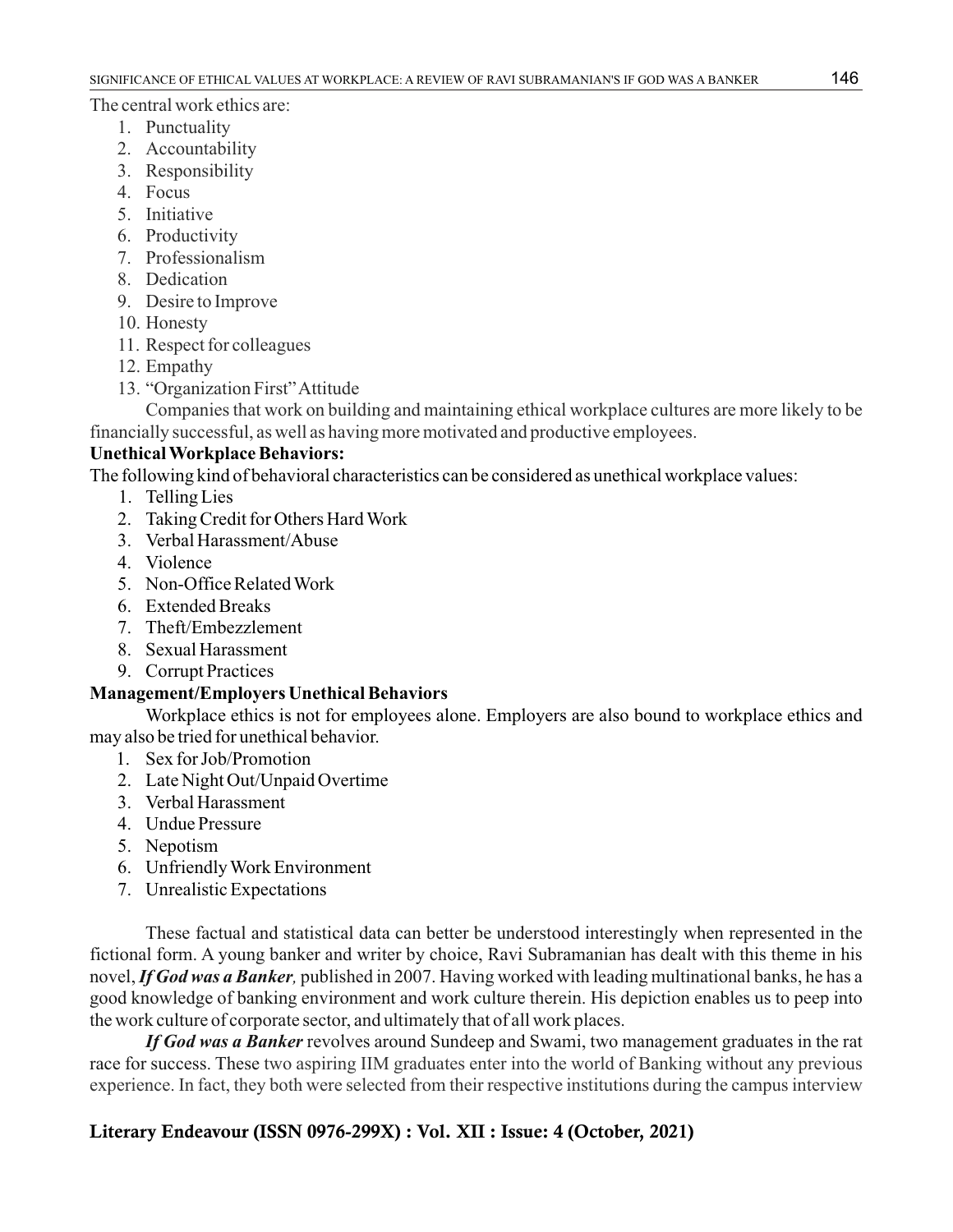The central work ethics are:

- 1. Punctuality
- 2. Accountability
- 3. Responsibility
- 4. Focus
- 5. Initiative
- 6. Productivity
- 7. Professionalism
- 8. Dedication
- 9. Desire to Improve
- 10. Honesty
- 11. Respect for colleagues
- 12. Empathy
- 13. "Organization First" Attitude

Companies that work on building and maintaining ethical workplace cultures are more likely to be financially successful, as well as having more motivated and productive employees.

## **Unethical Workplace Behaviors:**

The following kind of behavioral characteristics can be considered as unethical workplace values:

- 1. Telling Lies
- 2. Taking Credit for Others Hard Work
- 3. Verbal Harassment/Abuse
- 4. Violence
- 5. Non-Office Related Work
- 6. Extended Breaks
- 7. Theft/Embezzlement
- 8. Sexual Harassment
- 9. Corrupt Practices

## **Management/Employers Unethical Behaviors**

Workplace ethics is not for employees alone. Employers are also bound to workplace ethics and may also be tried for unethical behavior.

- 1. Sex for Job/Promotion
- 2. Late Night Out/Unpaid Overtime
- 3. Verbal Harassment
- 4. Undue Pressure
- 5. Nepotism
- 6. Unfriendly Work Environment
- 7. Unrealistic Expectations

These factual and statistical data can better be understood interestingly when represented in the fictional form. A young banker and writer by choice, Ravi Subramanian has dealt with this theme in his novel, *If God was a Banker,* published in 2007. Having worked with leading multinational banks, he has a good knowledge of banking environment and work culture therein. His depiction enables us to peep into the work culture of corporate sector, and ultimately that of all work places.

*If God was a Banker* revolves around Sundeep and Swami, two management graduates in the rat race for success. These two aspiring IIM graduates enter into the world of Banking without any previous experience. In fact, they both were selected from their respective institutions during the campus interview

# **Literary Endeavour (ISSN 0976-299X) : Vol. XII : Issue: 4 (October, 2021)**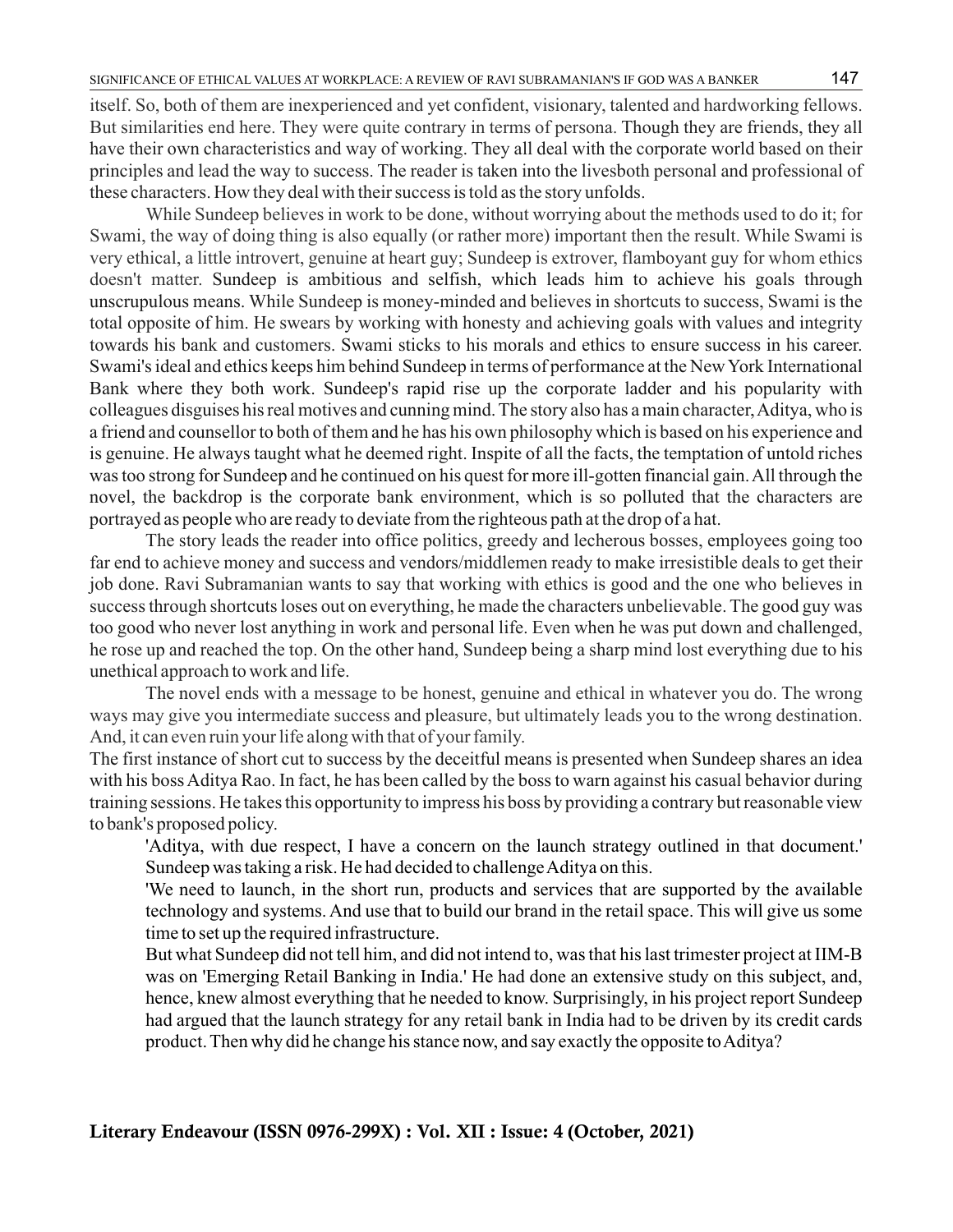itself. So, both of them are inexperienced and yet confident, visionary, talented and hardworking fellows. But similarities end here. They were quite contrary in terms of persona. Though they are friends, they all have their own characteristics and way of working. They all deal with the corporate world based on their principles and lead the way to success. The reader is taken into the livesboth personal and professional of these characters. How they deal with their success is told as the story unfolds.

While Sundeep believes in work to be done, without worrying about the methods used to do it; for Swami, the way of doing thing is also equally (or rather more) important then the result. While Swami is very ethical, a little introvert, genuine at heart guy; Sundeep is extrover, flamboyant guy for whom ethics doesn't matter. Sundeep is ambitious and selfish, which leads him to achieve his goals through unscrupulous means. While Sundeep is money-minded and believes in shortcuts to success, Swami is the total opposite of him. He swears by working with honesty and achieving goals with values and integrity towards his bank and customers. Swami sticks to his morals and ethics to ensure success in his career. Swami's ideal and ethics keeps him behind Sundeep in terms of performance at the New York International Bank where they both work. Sundeep's rapid rise up the corporate ladder and his popularity with colleagues disguises his real motives and cunning mind. The story also has a main character, Aditya, who is a friend and counsellor to both of them and he has his own philosophy which is based on his experience and is genuine. He always taught what he deemed right. Inspite of all the facts, the temptation of untold riches was too strong for Sundeep and he continued on his quest for more ill-gotten financial gain. All through the novel, the backdrop is the corporate bank environment, which is so polluted that the characters are portrayed as people who are ready to deviate from the righteous path at the drop of a hat.

The story leads the reader into office politics, greedy and lecherous bosses, employees going too far end to achieve money and success and vendors/middlemen ready to make irresistible deals to get their job done. Ravi Subramanian wants to say that working with ethics is good and the one who believes in success through shortcuts loses out on everything, he made the characters unbelievable. The good guy was too good who never lost anything in work and personal life. Even when he was put down and challenged, he rose up and reached the top. On the other hand, Sundeep being a sharp mind lost everything due to his unethical approach to work and life.

The novel ends with a message to be honest, genuine and ethical in whatever you do. The wrong ways may give you intermediate success and pleasure, but ultimately leads you to the wrong destination. And, it can even ruin your life along with that of your family.

The first instance of short cut to success by the deceitful means is presented when Sundeep shares an idea with his boss Aditya Rao. In fact, he has been called by the boss to warn against his casual behavior during training sessions. He takes this opportunity to impress his boss by providing a contrary but reasonable view to bank's proposed policy.

'Aditya, with due respect, I have a concern on the launch strategy outlined in that document.' Sundeep was taking a risk. He had decided to challenge Aditya on this.

'We need to launch, in the short run, products and services that are supported by the available technology and systems. And use that to build our brand in the retail space. This will give us some time to set up the required infrastructure.

But what Sundeep did not tell him, and did not intend to, was that his last trimester project at IIM-B was on 'Emerging Retail Banking in India.' He had done an extensive study on this subject, and, hence, knew almost everything that he needed to know. Surprisingly, in his project report Sundeep had argued that the launch strategy for any retail bank in India had to be driven by its credit cards product. Then why did he change his stance now, and say exactly the opposite to Aditya?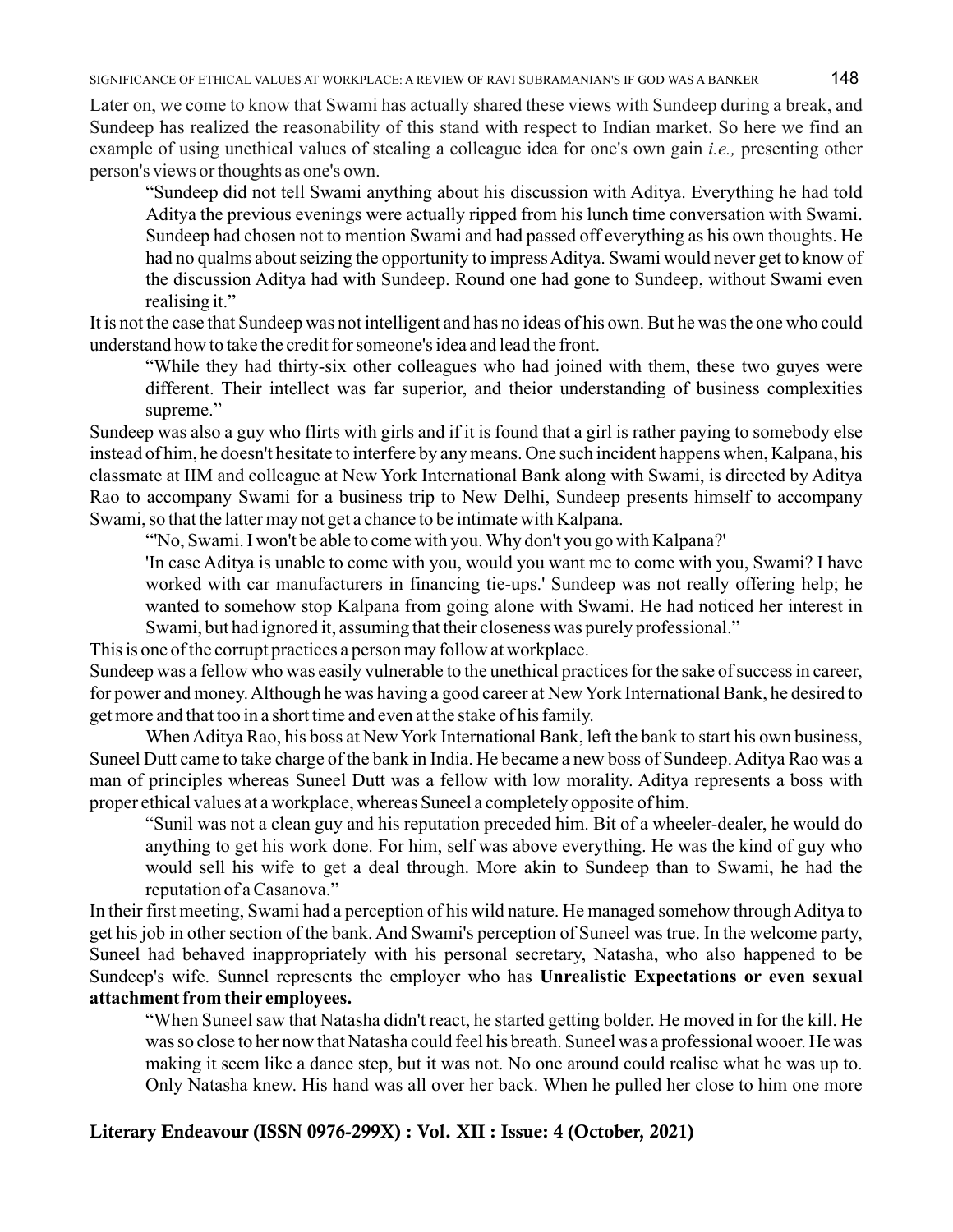Later on, we come to know that Swami has actually shared these views with Sundeep during a break, and Sundeep has realized the reasonability of this stand with respect to Indian market. So here we find an example of using unethical values of stealing a colleague idea for one's own gain *i.e.,* presenting other person's views or thoughts as one's own.

"Sundeep did not tell Swami anything about his discussion with Aditya. Everything he had told Aditya the previous evenings were actually ripped from his lunch time conversation with Swami. Sundeep had chosen not to mention Swami and had passed off everything as his own thoughts. He had no qualms about seizing the opportunity to impress Aditya. Swami would never get to know of the discussion Aditya had with Sundeep. Round one had gone to Sundeep, without Swami even realising it."

It is not the case that Sundeep was not intelligent and has no ideas of his own. But he was the one who could understand how to take the credit for someone's idea and lead the front.

"While they had thirty-six other colleagues who had joined with them, these two guyes were different. Their intellect was far superior, and theior understanding of business complexities supreme."

Sundeep was also a guy who flirts with girls and if it is found that a girl is rather paying to somebody else instead of him, he doesn't hesitate to interfere by any means. One such incident happens when, Kalpana, his classmate at IIM and colleague at New York International Bank along with Swami, is directed by Aditya Rao to accompany Swami for a business trip to New Delhi, Sundeep presents himself to accompany Swami, so that the latter may not get a chance to be intimate with Kalpana.

"'No, Swami. I won't be able to come with you. Why don't you go with Kalpana?'

'In case Aditya is unable to come with you, would you want me to come with you, Swami? I have worked with car manufacturers in financing tie-ups.' Sundeep was not really offering help; he wanted to somehow stop Kalpana from going alone with Swami. He had noticed her interest in Swami, but had ignored it, assuming that their closeness was purely professional."

This is one of the corrupt practices a person may follow at workplace.

Sundeep was a fellow who was easily vulnerable to the unethical practices for the sake of success in career, for power and money. Although he was having a good career at New York International Bank, he desired to get more and that too in a short time and even at the stake of his family.

When Aditya Rao, his boss at New York International Bank, left the bank to start his own business, Suneel Dutt came to take charge of the bank in India. He became a new boss of Sundeep. Aditya Rao was a man of principles whereas Suneel Dutt was a fellow with low morality. Aditya represents a boss with proper ethical values at a workplace, whereas Suneel a completely opposite of him.

"Sunil was not a clean guy and his reputation preceded him. Bit of a wheeler-dealer, he would do anything to get his work done. For him, self was above everything. He was the kind of guy who would sell his wife to get a deal through. More akin to Sundeep than to Swami, he had the reputation of a Casanova."

In their first meeting, Swami had a perception of his wild nature. He managed somehow through Aditya to get his job in other section of the bank. And Swami's perception of Suneel was true. In the welcome party, Suneel had behaved inappropriately with his personal secretary, Natasha, who also happened to be Sundeep's wife. Sunnel represents the employer who has **Unrealistic Expectations or even sexual attachment from their employees.** 

"When Suneel saw that Natasha didn't react, he started getting bolder. He moved in for the kill. He was so close to her now that Natasha could feel his breath. Suneel was a professional wooer. He was making it seem like a dance step, but it was not. No one around could realise what he was up to. Only Natasha knew. His hand was all over her back. When he pulled her close to him one more

## **Literary Endeavour (ISSN 0976-299X) : Vol. XII : Issue: 4 (October, 2021)**